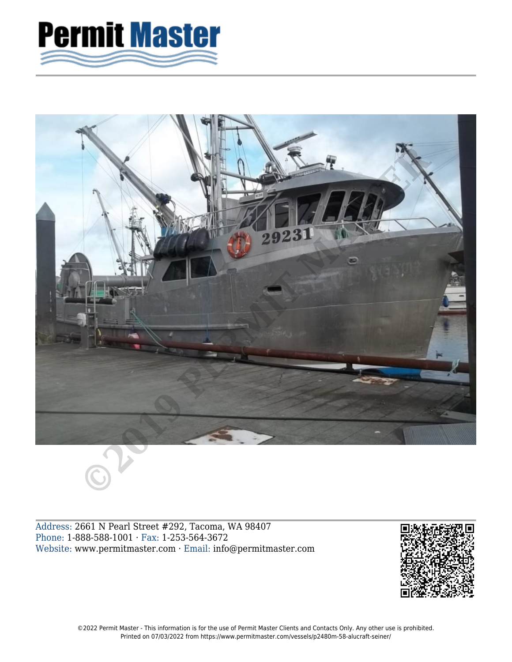



Address: 2661 N Pearl Street #292, Tacoma, WA 98407 Phone: 1-888-588-1001 · Fax: 1-253-564-3672 Website: www.permitmaster.com · Email: info@permitmaster.com